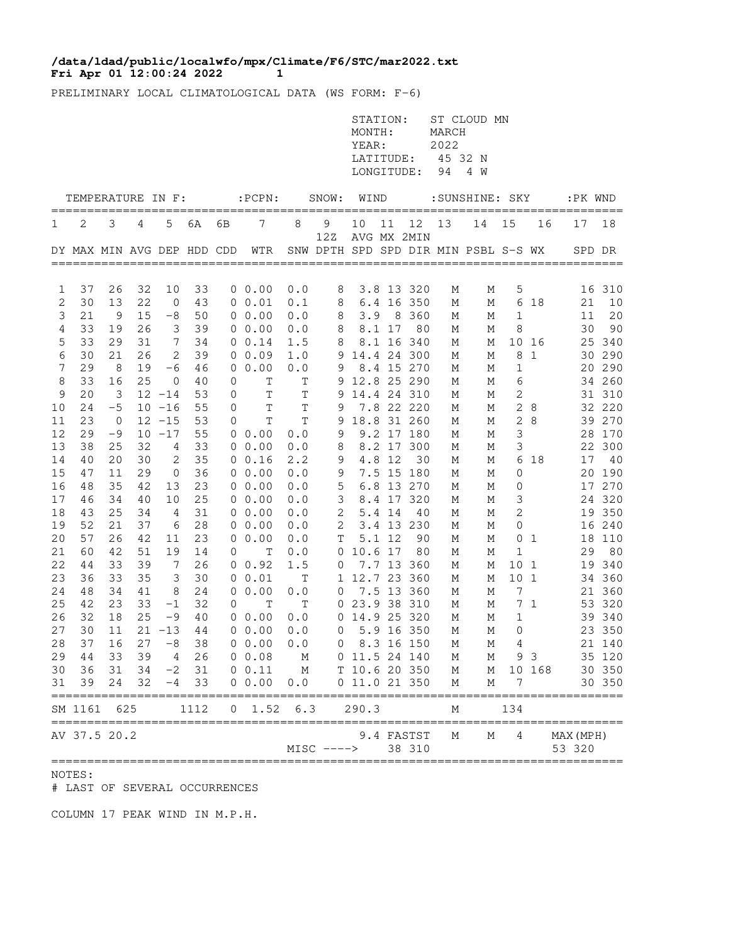## **Fri Apr 01 12:00:24 2022 1 /data/ldad/public/localwfo/mpx/Climate/F6/STC/mar2022.txt**

PRELIMINARY LOCAL CLIMATOLOGICAL DATA (WS FORM: F-6)

|                     |                                     |                |             |                |               |    |                       |             |              | STATION:<br>MONTH:<br>YEAR:<br>LATITUDE:<br>LONGITUDE: |        |                      | MARCH<br>2022<br>45 32 N<br>94 | ST CLOUD MN<br>4 W                   |                   |                |                     |                  |
|---------------------|-------------------------------------|----------------|-------------|----------------|---------------|----|-----------------------|-------------|--------------|--------------------------------------------------------|--------|----------------------|--------------------------------|--------------------------------------|-------------------|----------------|---------------------|------------------|
|                     | TEMPERATURE IN F:                   |                |             |                |               |    | $:$ $PCPN:$           |             | SNOW:        | WIND                                                   |        |                      |                                | :SUNSHINE: SKY                       |                   |                | :PK WND             |                  |
| T                   | 2                                   | 3              | 4           | 5              | 6A            | 6В | 7                     | 8           | $\mathsf 9$  | 10                                                     | 11     | 12                   | 13                             | 14                                   | 15                | 16             | 17                  | 18               |
|                     | DY MAX MIN AVG DEP HDD CDD          |                |             |                |               |    | WTR                   |             | 12Z          |                                                        |        | AVG MX 2MIN          |                                | SNW DPTH SPD SPD DIR MIN PSBL S-S WX |                   |                |                     | SPD DR           |
|                     |                                     |                |             |                |               |    |                       |             |              |                                                        |        |                      |                                |                                      |                   |                |                     |                  |
| 1                   | 37                                  | 26             | 32          | 10             | 33            |    | $0\;\;0.00$           | 0.0         | 8            |                                                        |        | 3.8 13 320           | М                              | М                                    | 5                 |                |                     | 16 310           |
| 2                   | 30                                  | 13             | 22          | $\overline{0}$ | 43            |    | 0 0.01                | 0.1         | 8            |                                                        |        | 6.4 16 350           | М                              | М                                    | 6                 | 18             | 21                  | 10               |
| 3<br>$\overline{4}$ | 21<br>33                            | - 9<br>19      | 15<br>26    | -8<br>3        | 50<br>39      |    | 00.00<br>$0\;\;0.00$  | 0.0<br>0.0  | 8<br>8       | 3.9                                                    | 8.1 17 | 8 360<br>80          | М                              | М<br>М                               | $\mathbf{1}$<br>8 |                | 11<br>30            | 20<br>90         |
| 5                   | 33                                  | 29             | 31          | 7              | 34            |    | $0 \t 0.14$           | 1.5         | 8            |                                                        |        | 8.1 16 340           | М<br>М                         | М                                    |                   | 10 16          |                     | 25 340           |
| 6                   | 30                                  | 21             | 26          | 2              | 39            |    | 00.09                 | 1.0         |              | 9 14.4 24 300                                          |        |                      | М                              | М                                    | 8                 | 1              |                     | 30 290           |
| 7                   | 29                                  | 8              | 19          | -6             | 46            |    | 00.00                 | 0.0         | 9            |                                                        |        | 8.4 15 270           | М                              | М                                    | 1                 |                |                     | 20 290           |
| 8                   | 33                                  | 16             | 25          | $\mathbf 0$    | 40            | 0  | T                     | Τ           |              | 9 12.8 25 290                                          |        |                      | М                              | М                                    | 6                 |                |                     | 34 260           |
| 9                   | 20                                  | 3              |             | $12 - 14$      | 53            | 0  | $\mathbf T$           | $\mathbb T$ | 9            | 14.4 24 310                                            |        |                      | М                              | М                                    | 2                 |                |                     | 31 310           |
| 10                  | 24                                  | $-5$           |             | $10 - 16$      | 55            | 0  | T                     | $\mathbf T$ | 9            |                                                        |        | 7.8 22 220           | М                              | М                                    |                   | 28             |                     | 32 220           |
| 11                  | 23                                  | $\overline{0}$ |             | $12 - 15$      | 53            | 0  | Τ                     | T           | 9            |                                                        |        | 18.8 31 260          | М                              | М                                    | 2                 | 8              |                     | 39 270           |
| 12                  | 29                                  | -9             |             | $10 - 17$      | 55            |    | $0\;\;0.00$           | 0.0         | 9            |                                                        |        | 9.2 17 180           | М                              | М                                    | 3                 |                |                     | 28 170           |
| 13                  | 38                                  | 25             | 32          | 4              | 33            |    | 0 0.00                | 0.0         | 8            |                                                        |        | 8.2 17 300           | М                              | М                                    | 3                 |                |                     | 22 300           |
| 14                  | 40                                  | 20             | 30          | 2              | 35            |    | 0 0.16                | 2.2         | 9            |                                                        | 4.8 12 | 30                   | М                              | М                                    | 6                 | 18             | 17                  | 40               |
| 15                  | 47                                  | 11             | 29          | $\mathbf 0$    | 36            |    | 00.00                 | 0.0         | $\mathsf 9$  |                                                        |        | 7.5 15 180           | М                              | М                                    | 0                 |                |                     | 20 190           |
| 16                  | 48                                  | 35             | 42          | 13             | 23            |    | 00.00                 | 0.0         | 5            |                                                        |        | 6.8 13 270           | М                              | М                                    | 0                 |                |                     | 17 270           |
| 17                  | 46                                  | 34             | 40          | 10             | 25            |    | 0 0.00                | 0.0         | 3            |                                                        |        | 8.4 17 320           | М                              | М                                    | 3                 |                |                     | 24 320           |
| 18                  | 43                                  | 25             | 34          | 4              | 31            |    | 00.00                 | 0.0         | $\sqrt{2}$   |                                                        | 5.4 14 | 40                   | М                              | М                                    | $\mathbf{2}$      |                |                     | 19 350           |
| 19                  | 52                                  | 21             | 37          | 6              | 28            |    | 00.00                 | 0.0         | $\mathbf{2}$ |                                                        |        | 3.4 13 230           | М                              | М                                    | 0                 |                |                     | 16 240           |
| 20                  | 57                                  | 26             | 42          | 11             | 23            |    | 0 0.00                | 0.0         | Т            |                                                        | 5.1 12 | 90                   | М                              | М                                    | 0                 | 1              |                     | 18 110           |
| 21                  | 60                                  | 42             | 51          | 19             | 14            | 0  | $\mathbf T$           | 0.0         |              | 0 10.6 17                                              |        | 80                   | М                              | М                                    | $\mathbf{1}$      |                | 29                  | 80               |
| 22                  | 44                                  | 33             | 39          | 7              | 26            |    | $0 \t 0.92$           | 1.5         | 0            |                                                        |        | 7.7 13 360           | М                              | М                                    | 10 <sub>1</sub>   |                |                     | 19 340           |
| 23                  | 36                                  | 33             | 35          | 3              | 30            |    | 0 0.01                | Т           |              | 1 12.7 23 360                                          |        |                      | М                              | М                                    | 10 1              |                |                     | 34 360           |
| 24                  | 48                                  | 34             | 41          | 8              | 24            |    | 0 0.00                | 0.0         | 0            |                                                        |        | 7.5 13 360           | М                              | М                                    | 7                 |                |                     | 21 360           |
| 25                  | 42                                  | 23             | 33          | $-1$           | 32            | 0  | Т                     | Τ           |              | 0 23.9 38 310                                          |        |                      | М                              | М                                    |                   | 7 <sub>1</sub> |                     | 53 320           |
| 26                  | 32                                  | 18             | 25          | $-9$           | 40            |    | 0 0.00                | 0.0         |              | 0 14.9 25 320                                          |        |                      | М                              | М                                    | 1                 |                |                     | 39 340           |
| 27                  | 30                                  | 11             |             | $21 - 13$      | 44            |    | $0\;\;0.00$           | 0.0         | $\circ$      |                                                        |        | 5.9 16 350           | М                              | М                                    | $\mathbf 0$       |                |                     | 23 350           |
|                     | 28 37 16                            |                |             |                | $27 - 8$ 38   |    | $0\ 0.00\ 0.0$        |             |              | 0 8.3 16 150                                           |        |                      | M                              |                                      | $M$ 4             |                |                     | 21 140           |
| 29                  | 44                                  | 33             | 39          | $\sim$ 4       | 26            |    | 0 0.08                | M           |              | 0 11.5 24 140                                          |        |                      | $M_{\odot}$                    | М                                    | 93                |                |                     | 35 120           |
| 30<br>31            | 36<br>39                            | 24             | 31 34<br>32 | $-4$           | $-2$ 31<br>33 |    | $0 \t 0.11$<br>0 0.00 | M<br>0.0    |              | T 10.6 20 350<br>0 11.0 21 350                         |        |                      | M<br>М                         | М                                    | M 10 168<br>7     |                |                     | 30 350<br>30 350 |
|                     | SM 1161 625                         |                |             |                | 1112          |    | $0$ 1.52 6.3 290.3    |             |              |                                                        |        |                      | М                              |                                      | 134               |                | =============       |                  |
|                     | ===================<br>AV 37.5 20.2 |                |             |                |               |    |                       |             | $MISC$ ----> |                                                        |        | 9.4 FASTST<br>38 310 | М                              | М                                    | 4                 |                | MAX (MPH)<br>53 320 |                  |

NOTES:

# LAST OF SEVERAL OCCURRENCES

COLUMN 17 PEAK WIND IN M.P.H.